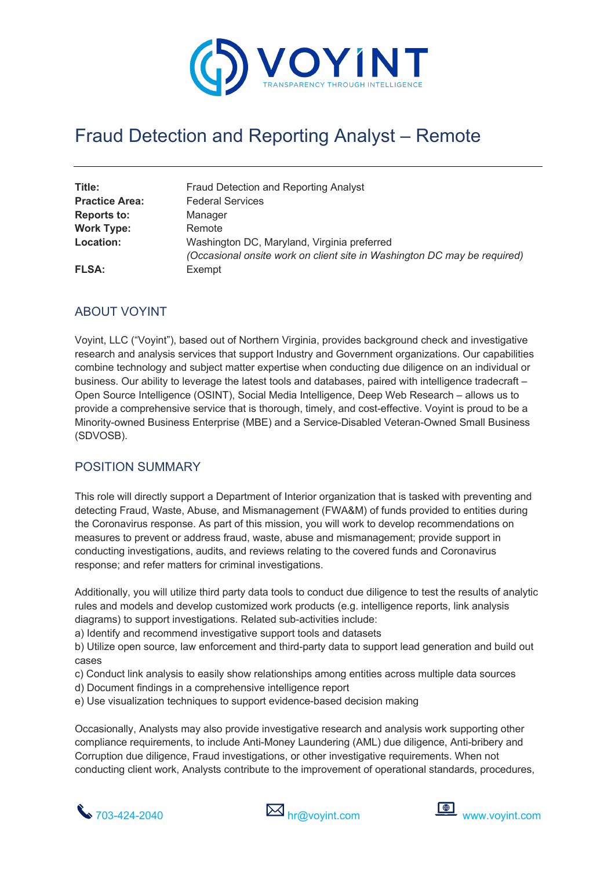

# Fraud Detection and Reporting Analyst – Remote

| Title:<br><b>Practice Area:</b> | Fraud Detection and Reporting Analyst<br><b>Federal Services</b>                                                        |
|---------------------------------|-------------------------------------------------------------------------------------------------------------------------|
| <b>Reports to:</b>              | Manager                                                                                                                 |
| <b>Work Type:</b>               | Remote                                                                                                                  |
| Location:                       | Washington DC, Maryland, Virginia preferred<br>(Occasional onsite work on client site in Washington DC may be required) |
| <b>FLSA:</b>                    | Exempt                                                                                                                  |

#### ABOUT VOYINT

Voyint, LLC ("Voyint"), based out of Northern Virginia, provides background check and investigative research and analysis services that support Industry and Government organizations. Our capabilities combine technology and subject matter expertise when conducting due diligence on an individual or business. Our ability to leverage the latest tools and databases, paired with intelligence tradecraft – Open Source Intelligence (OSINT), Social Media Intelligence, Deep Web Research – allows us to provide a comprehensive service that is thorough, timely, and cost-effective. Voyint is proud to be a Minority-owned Business Enterprise (MBE) and a Service-Disabled Veteran-Owned Small Business (SDVOSB).

#### POSITION SUMMARY

This role will directly support a Department of Interior organization that is tasked with preventing and detecting Fraud, Waste, Abuse, and Mismanagement (FWA&M) of funds provided to entities during the Coronavirus response. As part of this mission, you will work to develop recommendations on measures to prevent or address fraud, waste, abuse and mismanagement; provide support in conducting investigations, audits, and reviews relating to the covered funds and Coronavirus response; and refer matters for criminal investigations.

Additionally, you will utilize third party data tools to conduct due diligence to test the results of analytic rules and models and develop customized work products (e.g. intelligence reports, link analysis diagrams) to support investigations. Related sub-activities include:

a) Identify and recommend investigative support tools and datasets

b) Utilize open source, law enforcement and third-party data to support lead generation and build out cases

- c) Conduct link analysis to easily show relationships among entities across multiple data sources
- d) Document findings in a comprehensive intelligence report
- e) Use visualization techniques to support evidence-based decision making

Occasionally, Analysts may also provide investigative research and analysis work supporting other compliance requirements, to include Anti-Money Laundering (AML) due diligence, Anti-bribery and Corruption due diligence, Fraud investigations, or other investigative requirements. When not conducting client work, Analysts contribute to the improvement of operational standards, procedures,